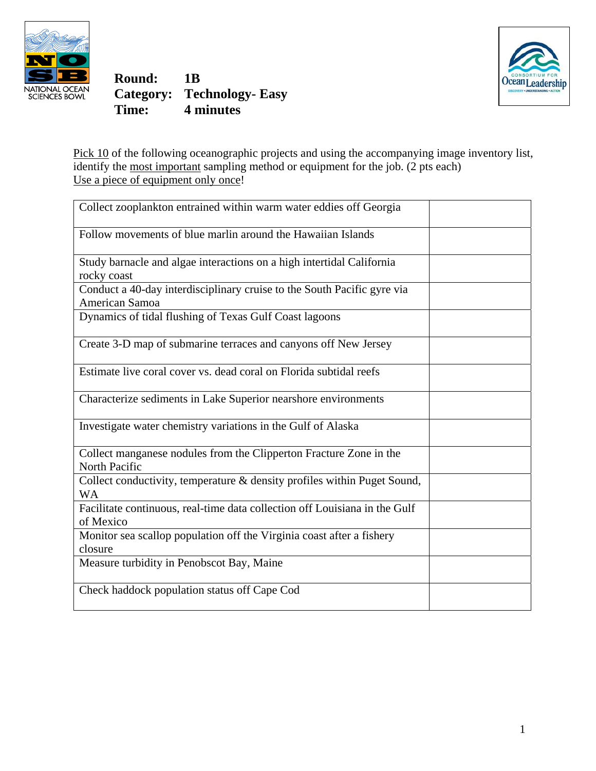

**Round:** 1B<br> **Round:** 1B<br> **Round:** 1B<br> **Round:** 1B<br> **Category: Ted Category: Technology- Easy Time: 4 minutes** 



Pick 10 of the following oceanographic projects and using the accompanying image inventory list, identify the <u>most important</u> sampling method or equipment for the job. (2 pts each) Use a piece of equipment only once!

| Collect zooplankton entrained within warm water eddies off Georgia                         |  |
|--------------------------------------------------------------------------------------------|--|
| Follow movements of blue marlin around the Hawaiian Islands                                |  |
| Study barnacle and algae interactions on a high intertidal California<br>rocky coast       |  |
| Conduct a 40-day interdisciplinary cruise to the South Pacific gyre via<br>American Samoa  |  |
| Dynamics of tidal flushing of Texas Gulf Coast lagoons                                     |  |
| Create 3-D map of submarine terraces and canyons off New Jersey                            |  |
| Estimate live coral cover vs. dead coral on Florida subtidal reefs                         |  |
| Characterize sediments in Lake Superior nearshore environments                             |  |
| Investigate water chemistry variations in the Gulf of Alaska                               |  |
| Collect manganese nodules from the Clipperton Fracture Zone in the<br><b>North Pacific</b> |  |
| Collect conductivity, temperature & density profiles within Puget Sound,<br><b>WA</b>      |  |
| Facilitate continuous, real-time data collection off Louisiana in the Gulf<br>of Mexico    |  |
| Monitor sea scallop population off the Virginia coast after a fishery<br>closure           |  |
| Measure turbidity in Penobscot Bay, Maine                                                  |  |
| Check haddock population status off Cape Cod                                               |  |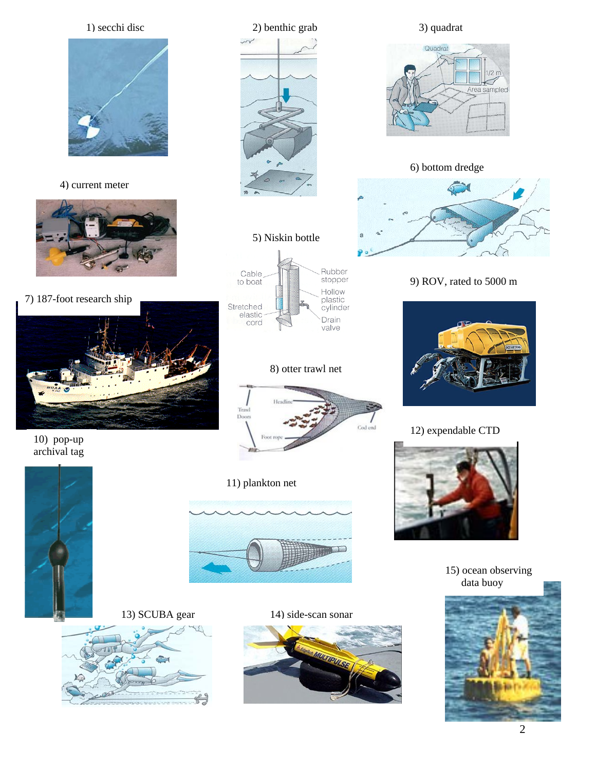